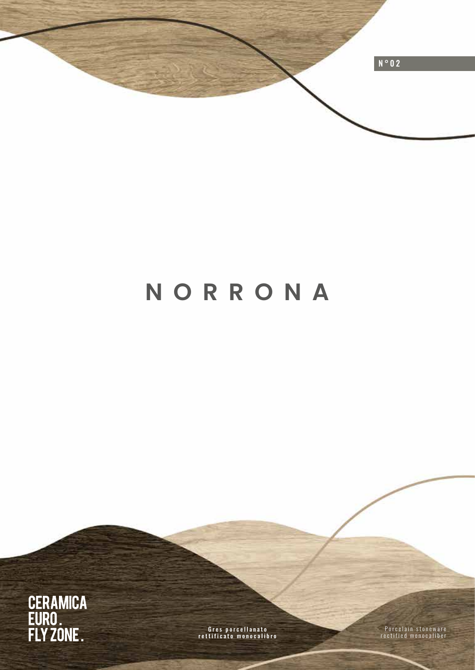

# **NORRONA**



Gres porcellanato rettificato monocalibro

Porcelain stoneware rectified monocaliber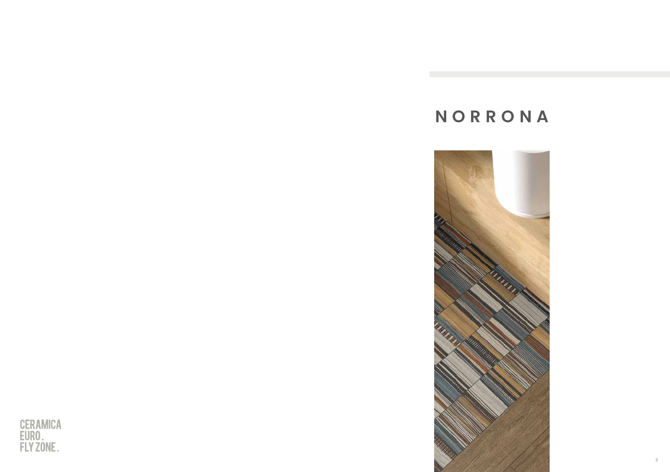# **NORRONA**



3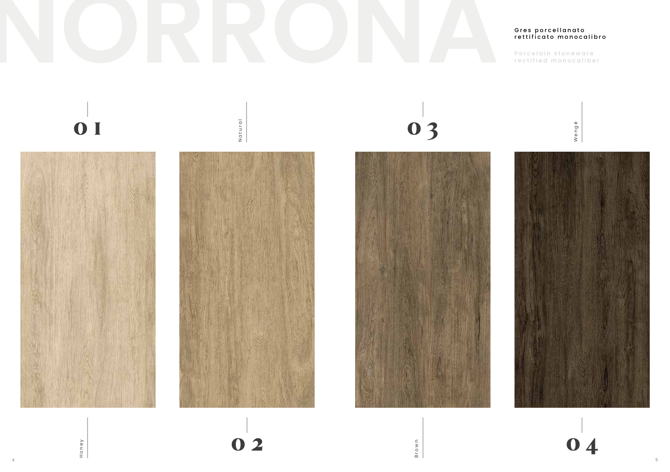### Gres porcellanato rettificato monocalibro

Porcelain stoneware rectified monocaliber

Wengé

0 I



Natural Natural



0 2

4 5

03



Brown

0 4

Honey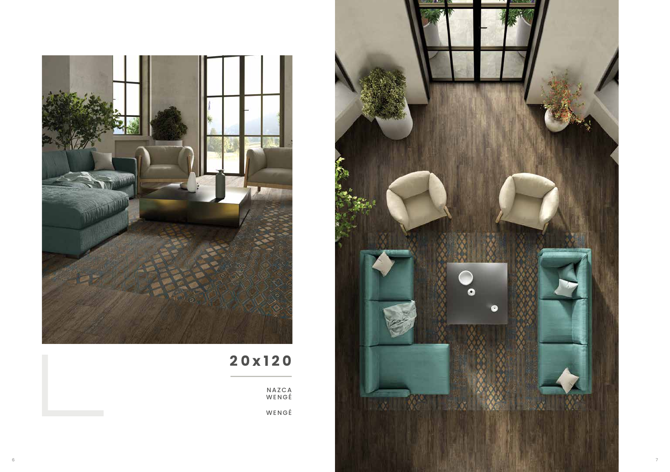

# 20x120

**NAZCA**<br>WENGÉ  $WENGE$ 

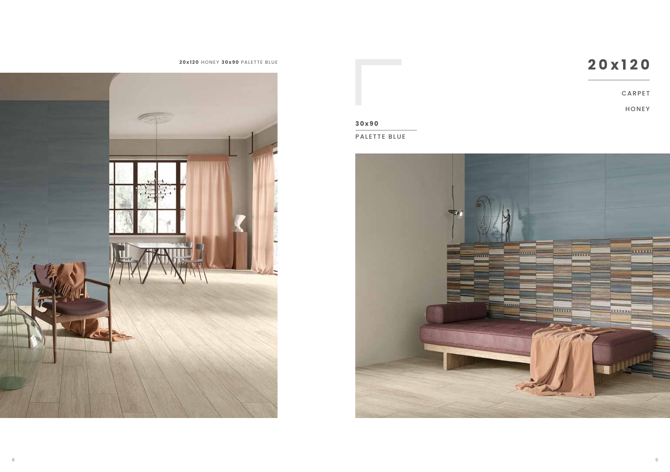



### **3 0x9 0**

PALETTE BLUE

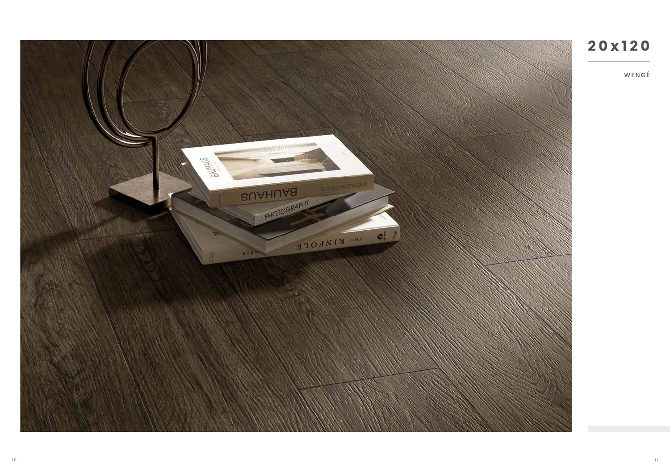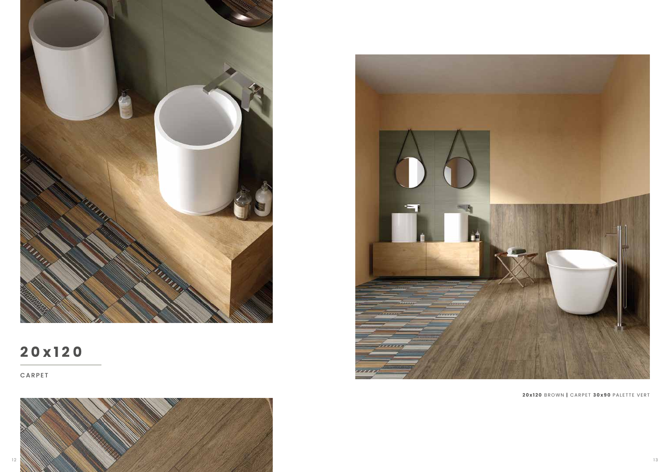

# **20x120**

CARPET





**2 0x120** BROWN **|** CARPET **30x90** PALETTE VERT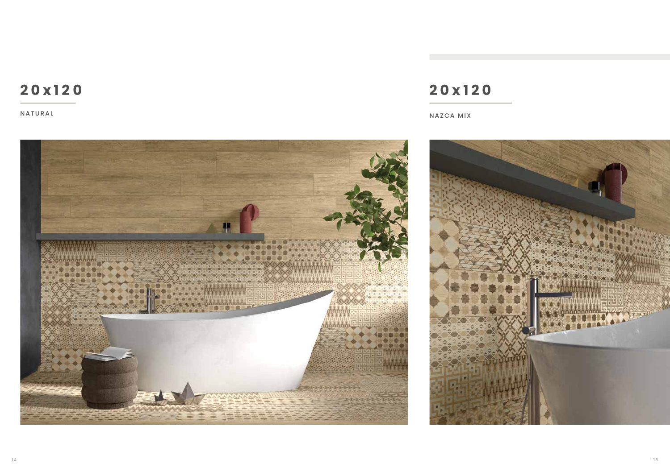## **20x120**

NATURAL

# **20x120**

NAZCA MIX



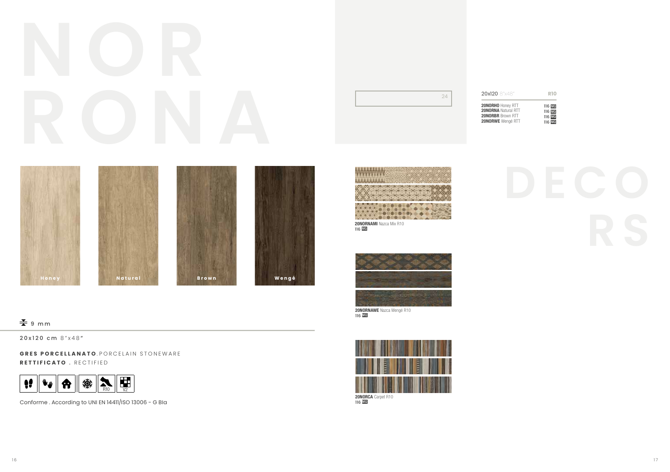# **RONA**

| 20x120 8"x48"              | <b>R10</b> |
|----------------------------|------------|
| 20NORHO Honey RTT          | 116 MQ     |
| <b>20NORNA</b> Natural RTT | 116 MQ     |
| <b>20NORBR</b> Brown RTT   | 116 MQ     |
| <b>20NORWE</b> Wengé RTT   | 116 MQ     |



# ● 中心 TA.

**20NORNAMI** Nazca Mix R10<br>116 **MQ** 



20NORNAWE Nazca Wengé R10 116 MQ



# **R S** 20NORNAMI Nazca Mix R10

### $\frac{V}{\sqrt{2}}$  9 mm

20x120 cm 8"x48 "

**GRES PORCELLANATO** PORCELAIN STONEWARE **RETTIFICATO** . RECTIFIED



Conforme . According to UNI EN 14411/ISO 13006 - G BIa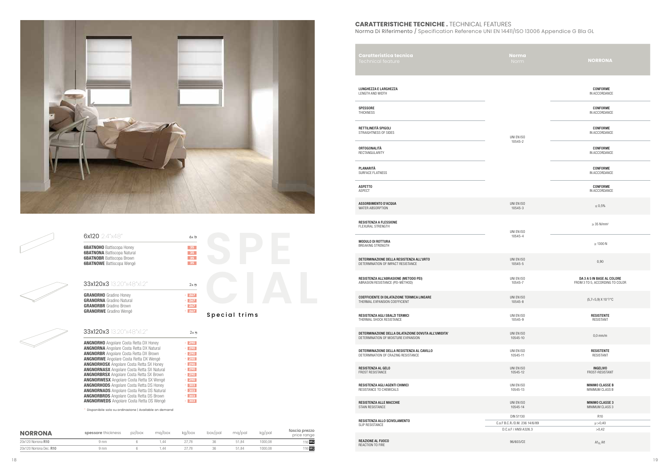

| <b>6BATNOHO</b> Battiscopa Honey<br>35<br><b>6BATNONA</b> Battiscopa Natural<br>35<br><b>6BATNOBR</b> Battiscopa Brown<br>35<br><b>6BATNOWE</b> Battiscopa Wengé<br>35<br>33x120x3 13.20"x48"x1.2"<br>$2x - 7$<br>$\mathbf{\ast}$ 267<br><b>GRANORHO</b> Gradino Honey<br>$\ast$ 267<br><b>GRANORNA</b> Gradino Natural<br><b>GRANORBR</b> Gradino Brown<br>$\mathbf{\ast}$ 267 | $\approx$ 267<br><b>GRANORWE</b> Gradino Wengé<br>Special trims | 33x120x3 13.20"x48"x1.2"<br>$2x - 3$ | <b>ANGNORHO</b> Angolare Costa Retta DX Honey<br>$\ast$ 290 | 6x120 2.4"x48" | 6x 包 |  |  |
|---------------------------------------------------------------------------------------------------------------------------------------------------------------------------------------------------------------------------------------------------------------------------------------------------------------------------------------------------------------------------------|-----------------------------------------------------------------|--------------------------------------|-------------------------------------------------------------|----------------|------|--|--|
|                                                                                                                                                                                                                                                                                                                                                                                 |                                                                 |                                      |                                                             |                |      |  |  |
|                                                                                                                                                                                                                                                                                                                                                                                 |                                                                 |                                      |                                                             |                |      |  |  |
|                                                                                                                                                                                                                                                                                                                                                                                 |                                                                 |                                      |                                                             |                |      |  |  |
| <b>ANGNORNA</b> Angolare Costa Retta DX Natural<br>$\ast$ 290<br><b>ANGNORBR</b> Angolare Costa Retta DX Brown<br>$\ast$ 290                                                                                                                                                                                                                                                    |                                                                 |                                      |                                                             |                |      |  |  |
| <b>ANGNORWE</b> Angolare Costa Retta DX Wengé<br>$\ast$ 290                                                                                                                                                                                                                                                                                                                     |                                                                 |                                      |                                                             |                |      |  |  |
| <b>ANGNORHOSX</b> Angolare Costa Retta SX Honey<br>$\frac{1}{290}$<br>$\ast$ 290                                                                                                                                                                                                                                                                                                |                                                                 |                                      |                                                             |                |      |  |  |
| <b>ANGNORNASX</b> Angolare Costa Retta SX Natural<br><b>ANGNORBRSX</b> Angolare Costa Retta SX Brown<br>$\ast$ 290                                                                                                                                                                                                                                                              |                                                                 |                                      |                                                             |                |      |  |  |
| <b>ANGNORWESX</b> Angolare Costa Retta SX Wengé<br>$\mathbf{*}$ 290                                                                                                                                                                                                                                                                                                             |                                                                 |                                      |                                                             |                |      |  |  |
| <b>ANGNORHODS</b> Angolare Costa Retta DS Honey<br>$* 303$                                                                                                                                                                                                                                                                                                                      |                                                                 |                                      |                                                             |                |      |  |  |
| <b>ANGNORNADS</b> Angolare Costa Retta DS Natural<br>$* 303$<br><b>ANGNORBRDS</b> Angolare Costa Retta DS Brown<br>$* 303$                                                                                                                                                                                                                                                      |                                                                 |                                      |                                                             |                |      |  |  |

### **NORRONA** spessore thickness pz/box mq/box kg/box box/pal mq/pal kg/pal fascia prezzo<br>price range 20x120 Norrona R10 9 mm 6 1,44 27,78 36 51,84 1000,08 116 MQ 20x120 Norrona Dec. R10 9 mm 6 1,44 27,78 36 51,84 1000,08 116 MQ

### **CARATTERISTICHE TECNICHE .** TECHNICAL FEATURES

Norma Di Riferimento / Specification Reference UNI EN 14411/ISO 13006 Appendice G Bla GL

| Caratteristica tecnica<br>Technical feature                                                 | <b>Norma</b><br>Norm                                                | <b>NORRONA</b>                                                |
|---------------------------------------------------------------------------------------------|---------------------------------------------------------------------|---------------------------------------------------------------|
| LUNGHEZZA E LARGHEZZA<br>LENGTH AND WIDTH                                                   |                                                                     | CONFORME<br>IN ACCORDANCE                                     |
| <b>SPESSORE</b><br>THICKNESS                                                                |                                                                     | CONFORME<br>IN ACCORDANCE                                     |
| RETTILINEITÀ SPIGOLI<br>STRAIGHTNESS OF SIDES                                               | UNI EN ISO                                                          | CONFORME<br>IN ACCORDANCE                                     |
| ORTOGONALITÀ<br>RECTANGULARITY                                                              | 10545-2                                                             | CONFORME<br>IN ACCORDANCE                                     |
| PLANARITÀ<br>SURFACE FLATNESS                                                               |                                                                     | CONFORME<br>IN ACCORDANCE                                     |
| <b>ASPETTO</b><br>ASPECT                                                                    |                                                                     | CONFORME<br>IN ACCORDANCE                                     |
| ASSORBIMENTO D'ACQUA<br>WATER ABSORPTION                                                    | UNI EN ISO<br>10545-3                                               | $\leq 0.5\%$                                                  |
| RESISTENZA A FLESSIONE<br>FLEXURAL STRENGTH                                                 | UNI EN ISO                                                          | $\geq$ 35 N/mm <sup>2</sup>                                   |
| <b>MODULO DI ROTTURA</b><br>BREAKING STRENGTH                                               | 10545-4                                                             | $\geq$ 1300 N                                                 |
| DETERMINAZIONE DELLA RESISTENZA ALL'URTO<br>DETERMINATION OF IMPACT RESISTANCE              | UNI EN ISO<br>10545-5                                               | 0,90                                                          |
| RESISTENZA ALL'ABRASIONE (METODO PEI)<br>ABRASION RESISTANCE (PEI-METHOD)                   | UNI EN ISO<br>10545-7                                               | DA 3 A 5 IN BASE AL COLORE<br>FROM 3 TO 5, ACCORDING TO COLOR |
| COEFFICIENTE DI DILATAZIONE TERMICA LINEARE<br>THERMAL EXPANSION COEFFICIENT                | UNI EN ISO<br>10545-8                                               | $(5,7\div 5,9)$ X 10 <sup>-6</sup> / <sup>o</sup> C           |
| RESISTENZA AGLI SBALZI TERMICI<br>THERMAL SHOCK RESISTANCE                                  | UNI EN ISO<br>10545-9                                               | <b>RESISTENTE</b><br>RESISTANT                                |
| DETERMINAZIONE DELLA DILATAZIONE DOVUTA ALL'UMIDITA'<br>DETERMINATION OF MOISTURE EXPANSION | UNI EN ISO<br>10545-10                                              | $0,0$ mm/m                                                    |
| DETERMINAZIONE DELLA RESISTENZA AL CAVILLO<br>DETERMINATION OF CRAZING RESISTANCE           | UNI EN ISO<br>10545-11                                              | <b>RESISTENTE</b><br>RESISTANT                                |
| RESISTENZA AL GELO<br>FROST RESISTANCE                                                      | UNI EN ISO<br>10545-12                                              | <b>INGELIVO</b><br>FROST-RESISTANT                            |
| RESISTENZA AGLI AGENTI CHIMICI<br>RESISTANCE TO CHEMICALS                                   | UNI EN ISO<br>10545-13                                              | <b>MINIMO CLASSE B</b><br>MINIMUM CLASS B                     |
| RESISTENZA ALLE MACCHIE<br>STAIN RESISTANCE                                                 | UNI EN ISO<br>10545-14                                              | <b>MINIMO CLASSE 3</b><br>MINIMUM CLASS 3                     |
| RESISTENZA ALLO SCIVOLAMENTO<br>SLIP RESISTANCE                                             | DIN 51130<br>C.o.F B.C.R./D.M. 236 14/6/89<br>D.C.o.F / ANSI A326.3 | R <sub>10</sub><br>$\mu > 0,40$<br>>0,42                      |
| REAZIONE AL FUOCO<br>REACTION TO FIRE                                                       | 96/603/CE                                                           | $A1_{FL}$ /A1                                                 |